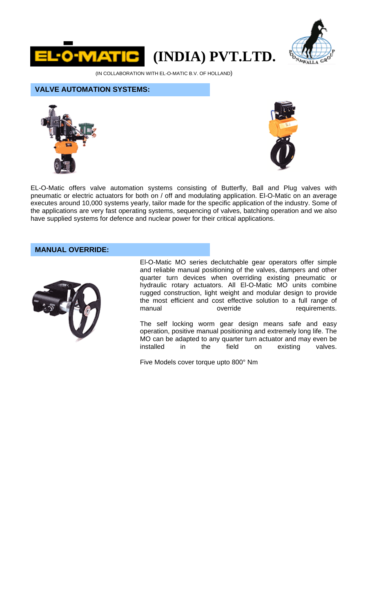

# **(INDIA) PVT.LTD.**



(IN COLLABORATION WITH EL-O-MATIC B.V. OF HOLLAND)

## **VALVE AUTOMATION SYSTEMS:**





EL-O-Matic offers valve automation systems consisting of Butterfly, Ball and Plug valves with pneumatic or electric actuators for both on / off and modulating application. El-O-Matic on an average executes around 10,000 systems yearly, tailor made for the specific application of the industry. Some of the applications are very fast operating systems, sequencing of valves, batching operation and we also have supplied systems for defence and nuclear power for their critical applications.

# **MANUAL OVERRIDE:**



El-O-Matic MO series declutchable gear operators offer simple and reliable manual positioning of the valves, dampers and other quarter turn devices when overriding existing pneumatic or hydraulic rotary actuators. All El-O-Matic MO units combine rugged construction, light weight and modular design to provide the most efficient and cost effective solution to a full range of<br>override requirements. manual override requirements.

The self locking worm gear design means safe and easy operation, positive manual positioning and extremely long life. The MO can be adapted to any quarter turn actuator and may even be installed in the field on existing valves.

Five Models cover torque upto 800° Nm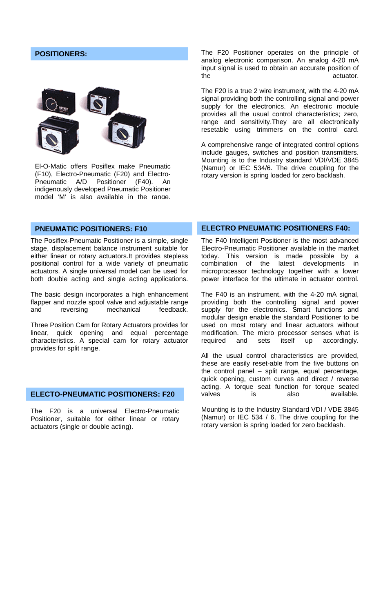## **POSITIONERS:**



El-O-Matic offers Posiflex make Pneumatic (F10), Electro-Pneumatic (F20) and Electro-Pneumatic A/D Positioner (F40). An indigenously developed Pneumatic Positioner model 'M' is also available in the range.

The F20 Positioner operates on the principle of analog electronic comparison. An analog 4-20 mA input signal is used to obtain an accurate position of the actuator.

The F20 is a true 2 wire instrument, with the 4-20 mA signal providing both the controlling signal and power supply for the electronics. An electronic module provides all the usual control characteristics; zero, range and sensitivity.They are all electronically resetable using trimmers on the control card.

A comprehensive range of integrated control options include gauges, switches and position transmitters. Mounting is to the Industry standard VDI/VDE 3845 (Namur) or IEC 534/6. The drive coupling for the rotary version is spring loaded for zero backlash.

#### **PNEUMATIC POSITIONERS: F10**

The Posiflex-Pneumatic Positioner is a simple, single stage, displacement balance instrument suitable for either linear or rotary actuators.It provides stepless positional control for a wide variety of pneumatic actuators. A single universal model can be used for both double acting and single acting applications.

The basic design incorporates a high enhancement flapper and nozzle spool valve and adjustable range and reversing mechanical feedback.

Three Position Cam for Rotary Actuators provides for linear, quick opening and equal percentage characteristics. A special cam for rotary actuator provides for split range.

## **ELECTO-PNEUMATIC POSITIONERS: F20**

The F20 is a universal Electro-Pneumatic Positioner, suitable for either linear or rotary actuators (single or double acting).

#### **ELECTRO PNEUMATIC POSITIONERS F40:**

The F40 Intelligent Positioner is the most advanced Electro-Pneumatic Positioner available in the market today. This version is made possible by a combination of the latest developments in microprocessor technology together with a lower power interface for the ultimate in actuator control.

The F40 is an instrument, with the 4-20 mA signal, providing both the controlling signal and power supply for the electronics. Smart functions and modular design enable the standard Positioner to be used on most rotary and linear actuators without modification. The micro processor senses what is required and sets itself up accordingly.

All the usual control characteristics are provided, these are easily reset-able from the five buttons on the control panel – split range, equal percentage, quick opening, custom curves and direct / reverse acting. A torque seat function for torque seated valves is also available.

Mounting is to the Industry Standard VDI / VDE 3845 (Namur) or IEC 534 / 6. The drive coupling for the rotary version is spring loaded for zero backlash.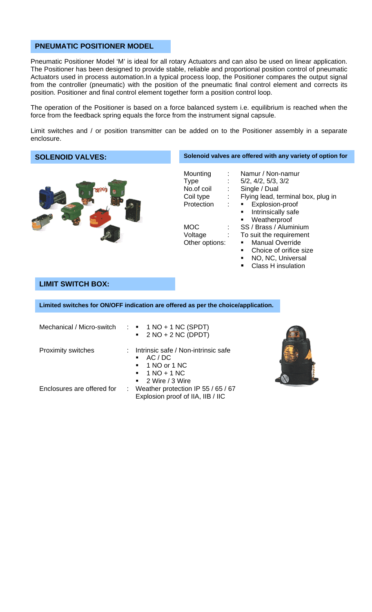# **PNEUMATIC POSITIONER MODEL**

Pneumatic Positioner Model 'M' is ideal for all rotary Actuators and can also be used on linear application. The Positioner has been designed to provide stable, reliable and proportional position control of pneumatic Actuators used in process automation.In a typical process loop, the Positioner compares the output signal from the controller (pneumatic) with the position of the pneumatic final control element and corrects its position. Positioner and final control element together form a position control loop.

The operation of the Positioner is based on a force balanced system i.e. equilibrium is reached when the force from the feedback spring equals the force from the instrument signal capsule.

Limit switches and / or position transmitter can be added on to the Positioner assembly in a separate enclosure.

| <b>SOLENOID VALVES:</b> | Solenoid valves are offered with any variety of option for                                                                                                                                                                                                                                                                                                                                                                                                                                                                    |
|-------------------------|-------------------------------------------------------------------------------------------------------------------------------------------------------------------------------------------------------------------------------------------------------------------------------------------------------------------------------------------------------------------------------------------------------------------------------------------------------------------------------------------------------------------------------|
|                         | Namur / Non-namur<br>Mounting<br>5/2, 4/2, 5/3, 3/2<br>Type<br>No.of coil<br>Single / Dual<br>Flying lead, terminal box, plug in<br>Coil type<br>$\mathcal{L}^{\text{max}}$<br>Explosion-proof<br>Protection<br>$\mathbf{m}$ , $\mathbf{m}$<br>Intrinsically safe<br>$\blacksquare$<br>Weatherproof<br>٠<br>SS / Brass / Aluminium<br><b>MOC</b><br>Voltage<br>To suit the requirement<br><b>Manual Override</b><br>Other options:<br>٠<br>Choice of orifice size<br>٠<br>NO, NC, Universal<br>٠<br><b>Class H</b> insulation |

# **LIMIT SWITCH BOX:**

**Limited switches for ON/OFF indication are offered as per the choice/application.** 

| Mechanical / Micro-switch : $\blacksquare$ 1 NO + 1 NC (SPDT) | $\bullet$ 2 NO + 2 NC (DPDT)                                                                                                                  |
|---------------------------------------------------------------|-----------------------------------------------------------------------------------------------------------------------------------------------|
| <b>Proximity switches</b>                                     | : Intrinsic safe / Non-intrinsic safe<br>AC/DC<br>$\blacksquare$ 1 NO or 1 NC<br>$\blacksquare$ 1 NO + 1 NC<br>$\blacksquare$ 2 Wire / 3 Wire |
| Enclosures are offered for                                    | : Weather protection IP 55 / 65 / 67<br>Explosion proof of IIA, IIB / IIC                                                                     |